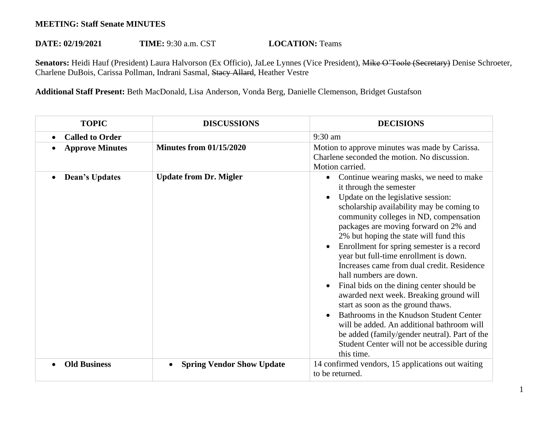## **MEETING: Staff Senate MINUTES**

## **DATE: 02/19/2021 TIME:** 9:30 a.m. CST **LOCATION:** Teams

Senators: Heidi Hauf (President) Laura Halvorson (Ex Officio), JaLee Lynnes (Vice President), Mike O'Toole (Secretary) Denise Schroeter, Charlene DuBois, Carissa Pollman, Indrani Sasmal, Stacy Allard, Heather Vestre

**Additional Staff Present:** Beth MacDonald, Lisa Anderson, Vonda Berg, Danielle Clemenson, Bridget Gustafson

| <b>TOPIC</b>           | <b>DISCUSSIONS</b>               | <b>DECISIONS</b>                                                                                                                                                                                                                                                                                                                                                                                                                                                                                                                                                                                                                                                                                                                                                                                      |
|------------------------|----------------------------------|-------------------------------------------------------------------------------------------------------------------------------------------------------------------------------------------------------------------------------------------------------------------------------------------------------------------------------------------------------------------------------------------------------------------------------------------------------------------------------------------------------------------------------------------------------------------------------------------------------------------------------------------------------------------------------------------------------------------------------------------------------------------------------------------------------|
| <b>Called to Order</b> |                                  | 9:30 am                                                                                                                                                                                                                                                                                                                                                                                                                                                                                                                                                                                                                                                                                                                                                                                               |
| <b>Approve Minutes</b> | <b>Minutes from 01/15/2020</b>   | Motion to approve minutes was made by Carissa.<br>Charlene seconded the motion. No discussion.<br>Motion carried.                                                                                                                                                                                                                                                                                                                                                                                                                                                                                                                                                                                                                                                                                     |
| <b>Dean's Updates</b>  | <b>Update from Dr. Migler</b>    | Continue wearing masks, we need to make<br>$\bullet$<br>it through the semester<br>Update on the legislative session:<br>scholarship availability may be coming to<br>community colleges in ND, compensation<br>packages are moving forward on 2% and<br>2% but hoping the state will fund this<br>Enrollment for spring semester is a record<br>year but full-time enrollment is down.<br>Increases came from dual credit. Residence<br>hall numbers are down.<br>Final bids on the dining center should be<br>awarded next week. Breaking ground will<br>start as soon as the ground thaws.<br>Bathrooms in the Knudson Student Center<br>will be added. An additional bathroom will<br>be added (family/gender neutral). Part of the<br>Student Center will not be accessible during<br>this time. |
| <b>Old Business</b>    | <b>Spring Vendor Show Update</b> | 14 confirmed vendors, 15 applications out waiting<br>to be returned.                                                                                                                                                                                                                                                                                                                                                                                                                                                                                                                                                                                                                                                                                                                                  |